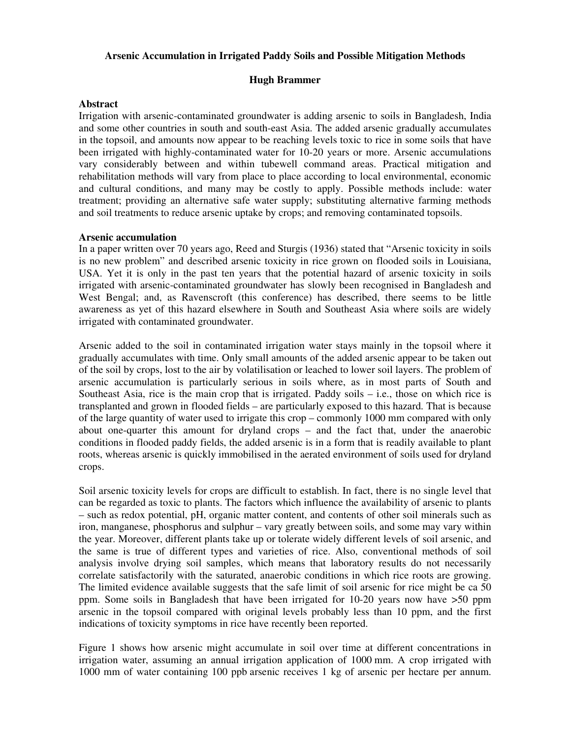# **Arsenic Accumulation in Irrigated Paddy Soils and Possible Mitigation Methods**

### **Hugh Brammer**

#### **Abstract**

Irrigation with arsenic-contaminated groundwater is adding arsenic to soils in Bangladesh, India and some other countries in south and south-east Asia. The added arsenic gradually accumulates in the topsoil, and amounts now appear to be reaching levels toxic to rice in some soils that have been irrigated with highly-contaminated water for 10-20 years or more. Arsenic accumulations vary considerably between and within tubewell command areas. Practical mitigation and rehabilitation methods will vary from place to place according to local environmental, economic and cultural conditions, and many may be costly to apply. Possible methods include: water treatment; providing an alternative safe water supply; substituting alternative farming methods and soil treatments to reduce arsenic uptake by crops; and removing contaminated topsoils.

### **Arsenic accumulation**

In a paper written over 70 years ago, Reed and Sturgis (1936) stated that "Arsenic toxicity in soils is no new problem" and described arsenic toxicity in rice grown on flooded soils in Louisiana, USA. Yet it is only in the past ten years that the potential hazard of arsenic toxicity in soils irrigated with arsenic-contaminated groundwater has slowly been recognised in Bangladesh and West Bengal; and, as Ravenscroft (this conference) has described, there seems to be little awareness as yet of this hazard elsewhere in South and Southeast Asia where soils are widely irrigated with contaminated groundwater.

Arsenic added to the soil in contaminated irrigation water stays mainly in the topsoil where it gradually accumulates with time. Only small amounts of the added arsenic appear to be taken out of the soil by crops, lost to the air by volatilisation or leached to lower soil layers. The problem of arsenic accumulation is particularly serious in soils where, as in most parts of South and Southeast Asia, rice is the main crop that is irrigated. Paddy soils – i.e., those on which rice is transplanted and grown in flooded fields – are particularly exposed to this hazard. That is because of the large quantity of water used to irrigate this crop – commonly 1000 mm compared with only about one-quarter this amount for dryland crops – and the fact that, under the anaerobic conditions in flooded paddy fields, the added arsenic is in a form that is readily available to plant roots, whereas arsenic is quickly immobilised in the aerated environment of soils used for dryland crops.

Soil arsenic toxicity levels for crops are difficult to establish. In fact, there is no single level that can be regarded as toxic to plants. The factors which influence the availability of arsenic to plants – such as redox potential, pH, organic matter content, and contents of other soil minerals such as iron, manganese, phosphorus and sulphur – vary greatly between soils, and some may vary within the year. Moreover, different plants take up or tolerate widely different levels of soil arsenic, and the same is true of different types and varieties of rice. Also, conventional methods of soil analysis involve drying soil samples, which means that laboratory results do not necessarily correlate satisfactorily with the saturated, anaerobic conditions in which rice roots are growing. The limited evidence available suggests that the safe limit of soil arsenic for rice might be ca 50 ppm. Some soils in Bangladesh that have been irrigated for 10-20 years now have >50 ppm arsenic in the topsoil compared with original levels probably less than 10 ppm, and the first indications of toxicity symptoms in rice have recently been reported.

Figure 1 shows how arsenic might accumulate in soil over time at different concentrations in irrigation water, assuming an annual irrigation application of 1000 mm. A crop irrigated with 1000 mm of water containing 100 ppb arsenic receives 1 kg of arsenic per hectare per annum.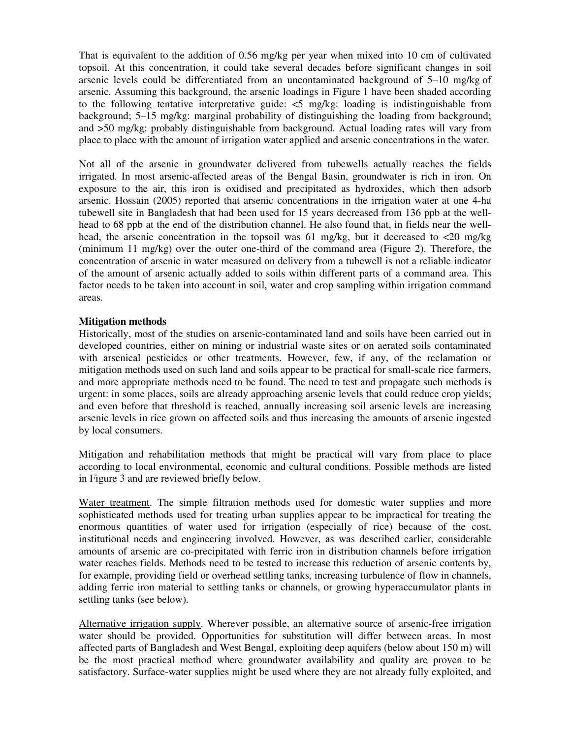That is equivalent to the addition of 0.56 mg/kg per year when mixed into 10 cm of cultivated topsoil. At this concentration, it could take several decades before significant changes in soil arsenic levels could be differentiated from an uncontaminated background of 5–10 mg/kg of arsenic. Assuming this background, the arsenic loadings in Figure 1 have been shaded according to the following tentative interpretative guide:  $\langle 5 \rangle$  mg/kg: loading is indistinguishable from background; 5–15 mg/kg: marginal probability of distinguishing the loading from background; and >50 mg/kg: probably distinguishable from background. Actual loading rates will vary from place to place with the amount of irrigation water applied and arsenic concentrations in the water.

Not all of the arsenic in groundwater delivered from tubewells actually reaches the fields irrigated. In most arsenic-affected areas of the Bengal Basin, groundwater is rich in iron. On exposure to the air, this iron is oxidised and precipitated as hydroxides, which then adsorb arsenic. Hossain (2005) reported that arsenic concentrations in the irrigation water at one 4-ha tubewell site in Bangladesh that had been used for 15 years decreased from 136 ppb at the wellhead to 68 ppb at the end of the distribution channel. He also found that, in fields near the wellhead, the arsenic concentration in the topsoil was 61 mg/kg, but it decreased to  $\langle 20 \rangle$  mg/kg (minimum 11 mg/kg) over the outer one-third of the command area (Figure 2). Therefore, the concentration of arsenic in water measured on delivery from a tubewell is not a reliable indicator of the amount of arsenic actually added to soils within different parts of a command area. This factor needs to be taken into account in soil, water and crop sampling within irrigation command areas.

# **Mitigation methods**

Historically, most of the studies on arsenic-contaminated land and soils have been carried out in developed countries, either on mining or industrial waste sites or on aerated soils contaminated with arsenical pesticides or other treatments. However, few, if any, of the reclamation or mitigation methods used on such land and soils appear to be practical for small-scale rice farmers, and more appropriate methods need to be found. The need to test and propagate such methods is urgent: in some places, soils are already approaching arsenic levels that could reduce crop yields; and even before that threshold is reached, annually increasing soil arsenic levels are increasing arsenic levels in rice grown on affected soils and thus increasing the amounts of arsenic ingested by local consumers.

Mitigation and rehabilitation methods that might be practical will vary from place to place according to local environmental, economic and cultural conditions. Possible methods are listed in Figure 3 and are reviewed briefly below.

Water treatment. The simple filtration methods used for domestic water supplies and more sophisticated methods used for treating urban supplies appear to be impractical for treating the enormous quantities of water used for irrigation (especially of rice) because of the cost, institutional needs and engineering involved. However, as was described earlier, considerable amounts of arsenic are co-precipitated with ferric iron in distribution channels before irrigation water reaches fields. Methods need to be tested to increase this reduction of arsenic contents by, for example, providing field or overhead settling tanks, increasing turbulence of flow in channels, adding ferric iron material to settling tanks or channels, or growing hyperaccumulator plants in settling tanks (see below).

Alternative irrigation supply. Wherever possible, an alternative source of arsenic-free irrigation water should be provided. Opportunities for substitution will differ between areas. In most affected parts of Bangladesh and West Bengal, exploiting deep aquifers (below about 150 m) will be the most practical method where groundwater availability and quality are proven to be satisfactory. Surface-water supplies might be used where they are not already fully exploited, and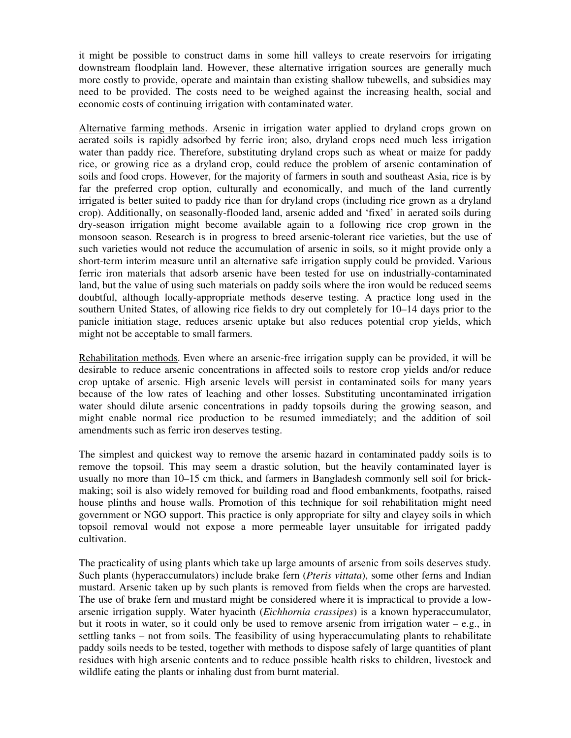it might be possible to construct dams in some hill valleys to create reservoirs for irrigating downstream floodplain land. However, these alternative irrigation sources are generally much more costly to provide, operate and maintain than existing shallow tubewells, and subsidies may need to be provided. The costs need to be weighed against the increasing health, social and economic costs of continuing irrigation with contaminated water.

Alternative farming methods. Arsenic in irrigation water applied to dryland crops grown on aerated soils is rapidly adsorbed by ferric iron; also, dryland crops need much less irrigation water than paddy rice. Therefore, substituting dryland crops such as wheat or maize for paddy rice, or growing rice as a dryland crop, could reduce the problem of arsenic contamination of soils and food crops. However, for the majority of farmers in south and southeast Asia, rice is by far the preferred crop option, culturally and economically, and much of the land currently irrigated is better suited to paddy rice than for dryland crops (including rice grown as a dryland crop). Additionally, on seasonally-flooded land, arsenic added and 'fixed' in aerated soils during dry-season irrigation might become available again to a following rice crop grown in the monsoon season. Research is in progress to breed arsenic-tolerant rice varieties, but the use of such varieties would not reduce the accumulation of arsenic in soils, so it might provide only a short-term interim measure until an alternative safe irrigation supply could be provided. Various ferric iron materials that adsorb arsenic have been tested for use on industrially-contaminated land, but the value of using such materials on paddy soils where the iron would be reduced seems doubtful, although locally-appropriate methods deserve testing. A practice long used in the southern United States, of allowing rice fields to dry out completely for 10–14 days prior to the panicle initiation stage, reduces arsenic uptake but also reduces potential crop yields, which might not be acceptable to small farmers.

Rehabilitation methods. Even where an arsenic-free irrigation supply can be provided, it will be desirable to reduce arsenic concentrations in affected soils to restore crop yields and/or reduce crop uptake of arsenic. High arsenic levels will persist in contaminated soils for many years because of the low rates of leaching and other losses. Substituting uncontaminated irrigation water should dilute arsenic concentrations in paddy topsoils during the growing season, and might enable normal rice production to be resumed immediately; and the addition of soil amendments such as ferric iron deserves testing.

The simplest and quickest way to remove the arsenic hazard in contaminated paddy soils is to remove the topsoil. This may seem a drastic solution, but the heavily contaminated layer is usually no more than 10–15 cm thick, and farmers in Bangladesh commonly sell soil for brickmaking; soil is also widely removed for building road and flood embankments, footpaths, raised house plinths and house walls. Promotion of this technique for soil rehabilitation might need government or NGO support. This practice is only appropriate for silty and clayey soils in which topsoil removal would not expose a more permeable layer unsuitable for irrigated paddy cultivation.

The practicality of using plants which take up large amounts of arsenic from soils deserves study. Such plants (hyperaccumulators) include brake fern (*Pteris vittata*), some other ferns and Indian mustard. Arsenic taken up by such plants is removed from fields when the crops are harvested. The use of brake fern and mustard might be considered where it is impractical to provide a lowarsenic irrigation supply. Water hyacinth (*Eichhornia crassipes*) is a known hyperaccumulator, but it roots in water, so it could only be used to remove arsenic from irrigation water  $-e.g.,$  in settling tanks – not from soils. The feasibility of using hyperaccumulating plants to rehabilitate paddy soils needs to be tested, together with methods to dispose safely of large quantities of plant residues with high arsenic contents and to reduce possible health risks to children, livestock and wildlife eating the plants or inhaling dust from burnt material.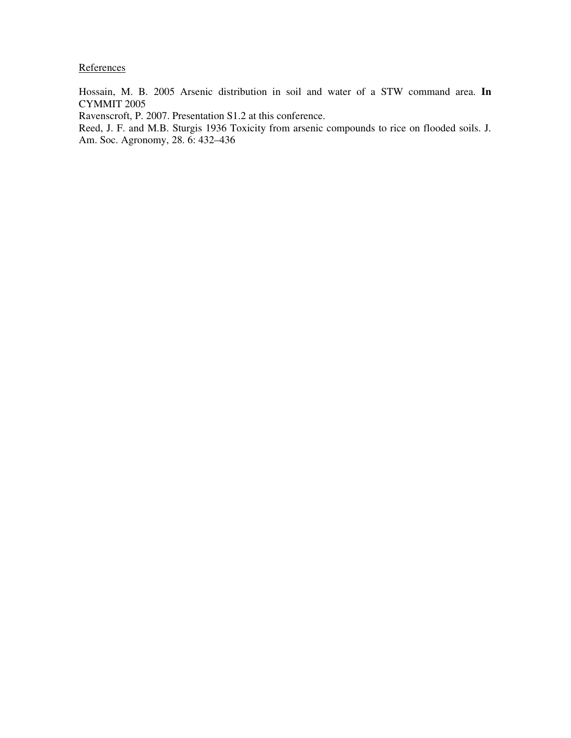**References** 

Hossain, M. B. 2005 Arsenic distribution in soil and water of a STW command area. **In** CYMMIT 2005

Ravenscroft, P. 2007. Presentation S1.2 at this conference.

Reed, J. F. and M.B. Sturgis 1936 Toxicity from arsenic compounds to rice on flooded soils. J. Am. Soc. Agronomy, 28. 6: 432–436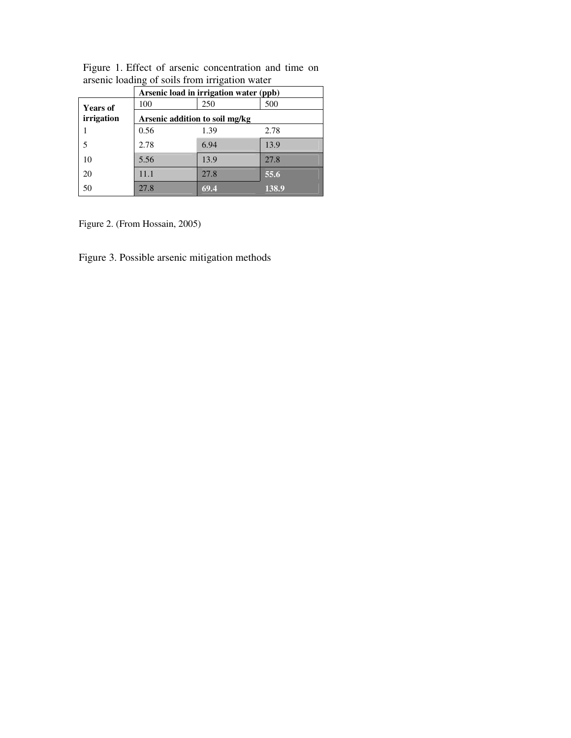|                 | Arsenic load in irrigation water (ppb) |      |       |
|-----------------|----------------------------------------|------|-------|
| <b>Years of</b> | 100                                    | 250  | 500   |
| irrigation      | Arsenic addition to soil mg/kg         |      |       |
|                 | 0.56                                   | 1.39 | 2.78  |
|                 | 2.78                                   | 6.94 | 13.9  |
| 10              | 5.56                                   | 13.9 | 27.8  |
| 20              | 11.1                                   | 27.8 | 55.6  |
| 50              | 27.8                                   | 69.4 | 138.9 |

Figure 1. Effect of arsenic concentration and time on arsenic loading of soils from irrigation water

Figure 2. (From Hossain, 2005)

Figure 3. Possible arsenic mitigation methods